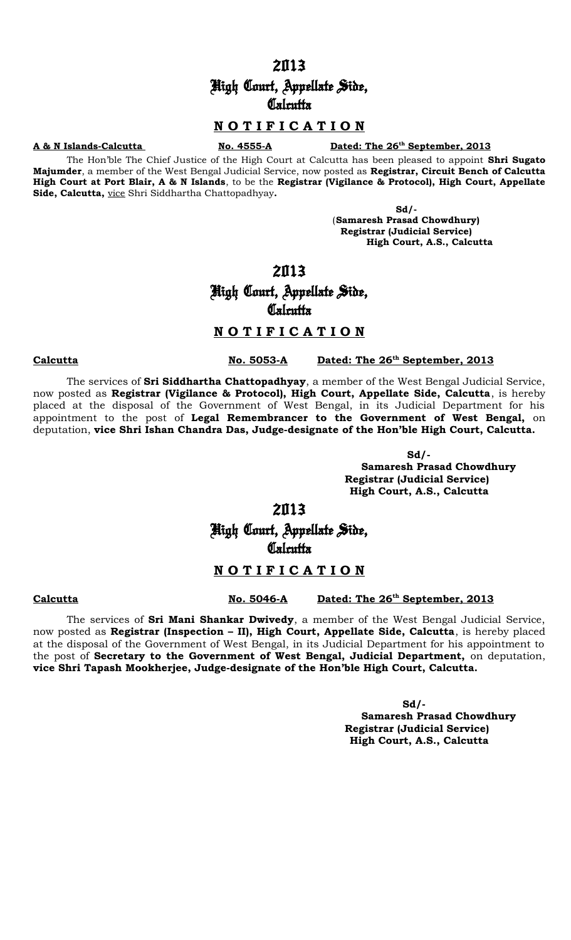# High Court, Appellate Side, **Calcutta**

# **N O T I F I C A T I O N**

#### **A & N Islands-Calcutta** No. 4555-A

### Dated: The 26<sup>th</sup> September, 2013

The Hon'ble The Chief Justice of the High Court at Calcutta has been pleased to appoint **Shri Sugato Majumder**, a member of the West Bengal Judicial Service, now posted as **Registrar, Circuit Bench of Calcutta High Court at Port Blair, A & N Islands**, to be the **Registrar (Vigilance & Protocol), High Court, Appellate Side, Calcutta,** vice Shri Siddhartha Chattopadhyay**.**

> **Sd/-**  (**Samaresh Prasad Chowdhury) Registrar (Judicial Service) High Court, A.S., Calcutta**

## 2013

# High Court, Appellate Side, **Calcutta**

# **N O T I F I C A T I O N**

The services of **Sri Siddhartha Chattopadhyay**, a member of the West Bengal Judicial Service, now posted as **Registrar (Vigilance & Protocol), High Court, Appellate Side, Calcutta**, is hereby placed at the disposal of the Government of West Bengal, in its Judicial Department for his appointment to the post of **Legal Remembrancer to the Government of West Bengal,** on deputation, **vice Shri Ishan Chandra Das, Judge-designate of the Hon'ble High Court, Calcutta.**

> **Sd/- Samaresh Prasad Chowdhury Registrar (Judicial Service) High Court, A.S., Calcutta**

# 2013

# High Court, Appellate Side, **Calcutta**

## **N O T I F I C A T I O N**

#### **Calcutta No. 5046-A Dated: The 26th September, 2013**

The services of **Sri Mani Shankar Dwivedy**, a member of the West Bengal Judicial Service, now posted as **Registrar (Inspection – II), High Court, Appellate Side, Calcutta**, is hereby placed at the disposal of the Government of West Bengal, in its Judicial Department for his appointment to the post of **Secretary to the Government of West Bengal, Judicial Department,** on deputation, **vice Shri Tapash Mookherjee, Judge-designate of the Hon'ble High Court, Calcutta.**

> **Sd/- Samaresh Prasad Chowdhury Registrar (Judicial Service) High Court, A.S., Calcutta**

**Calcutta No. 5053-A Dated: The 26th September, 2013**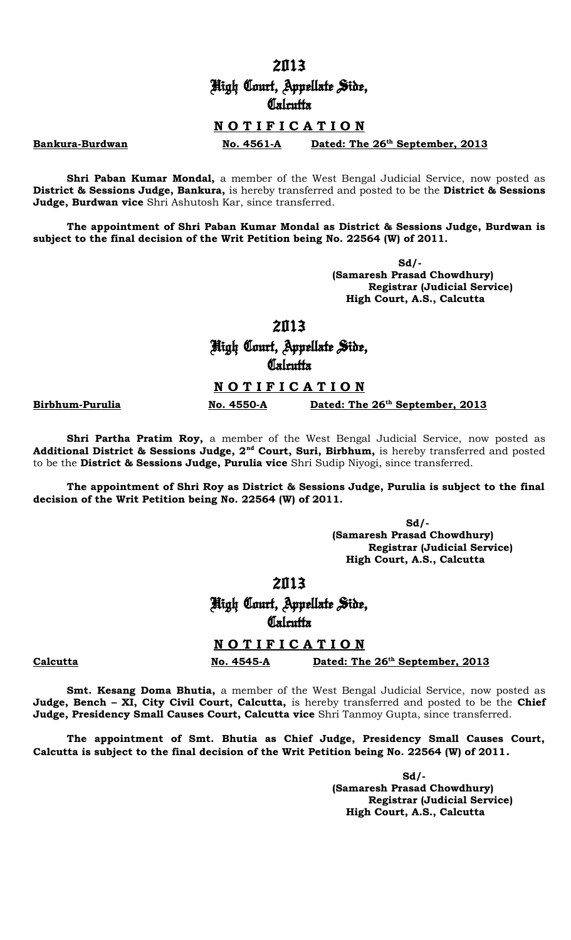# High Court, Appellate Side, **Calcutta**

## **N O T I F I C A T I O N**

**Bankura-Burdwan No. 4561-A** Dated: The 26<sup>th</sup> September, 2013

**Shri Paban Kumar Mondal,** a member of the West Bengal Judicial Service, now posted as **District & Sessions Judge, Bankura,** is hereby transferred and posted to be the **District & Sessions Judge, Burdwan vice** Shri Ashutosh Kar, since transferred.

**The appointment of Shri Paban Kumar Mondal as District & Sessions Judge, Burdwan is subject to the final decision of the Writ Petition being No. 22564 (W) of 2011.**

> **Sd/- (Samaresh Prasad Chowdhury) Registrar (Judicial Service) High Court, A.S., Calcutta**

### 2013

High Court, Appellate Side, **Calcutta** 

## **N O T I F I C A T I O N**

**Birbhum-Purulia No. 4550-A Dated: The 26th September, 2013**

**Shri Partha Pratim Roy,** a member of the West Bengal Judicial Service, now posted as **Additional District & Sessions Judge, 2nd Court, Suri, Birbhum,** is hereby transferred and posted to be the **District & Sessions Judge, Purulia vice** Shri Sudip Niyogi, since transferred.

**The appointment of Shri Roy as District & Sessions Judge, Purulia is subject to the final decision of the Writ Petition being No. 22564 (W) of 2011.**

> **Sd/- (Samaresh Prasad Chowdhury) Registrar (Judicial Service) High Court, A.S., Calcutta**

# 2013

High Court, Appellate Side, **Calcutta** 

# **N O T I F I C A T I O N**

**Calcutta No. 4545-A Dated: The 26th September, 2013**

**Smt. Kesang Doma Bhutia,** a member of the West Bengal Judicial Service, now posted as **Judge, Bench – XI, City Civil Court, Calcutta,** is hereby transferred and posted to be the **Chief Judge, Presidency Small Causes Court, Calcutta vice** Shri Tanmoy Gupta, since transferred.

**The appointment of Smt. Bhutia as Chief Judge, Presidency Small Causes Court, Calcutta is subject to the final decision of the Writ Petition being No. 22564 (W) of 2011.**

> **Sd/- (Samaresh Prasad Chowdhury) Registrar (Judicial Service) High Court, A.S., Calcutta**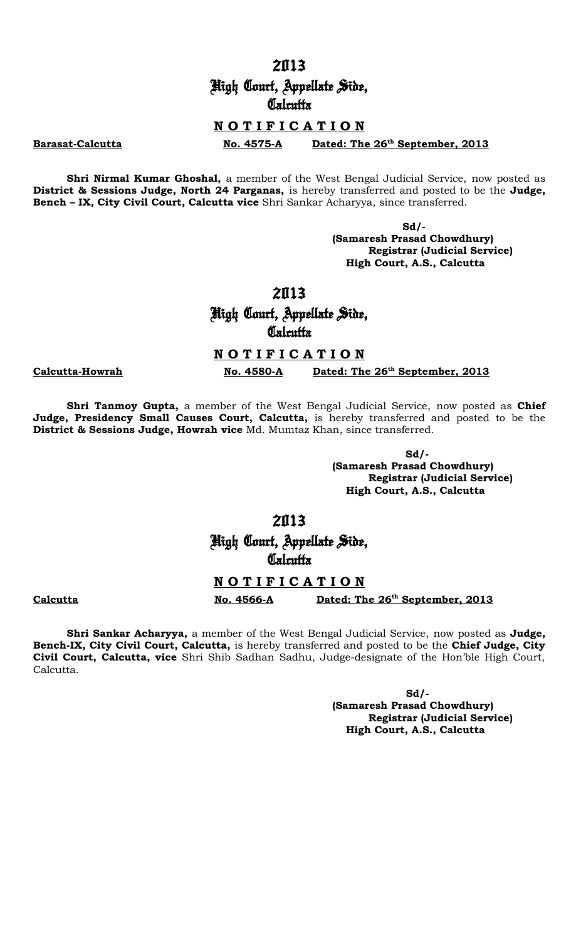High Court, Appellate Side, **Calcutta** 

# **N O T I F I C A T I O N**

**Barasat-Calcutta No. 4575-A Dated: The 26th September, 2013**

**Shri Nirmal Kumar Ghoshal,** a member of the West Bengal Judicial Service, now posted as **District & Sessions Judge, North 24 Parganas,** is hereby transferred and posted to be the **Judge, Bench – IX, City Civil Court, Calcutta vice** Shri Sankar Acharyya, since transferred.

> **Sd/- (Samaresh Prasad Chowdhury) Registrar (Judicial Service) High Court, A.S., Calcutta**

High Court, Appellate Side, **Calcutta** 

**N O T I F I C A T I O N**

**Calcutta-Howrah No. 4580-A Dated: The 26th September, 2013**

**Shri Tanmoy Gupta,** a member of the West Bengal Judicial Service, now posted as **Chief** Judge, Presidency Small Causes Court, Calcutta, is hereby transferred and posted to be the **District & Sessions Judge, Howrah vice** Md. Mumtaz Khan, since transferred.

> **Sd/- (Samaresh Prasad Chowdhury) Registrar (Judicial Service) High Court, A.S., Calcutta**

2013

High Court, Appellate Side, **Calcutta** 

### **N O T I F I C A T I O N**

**Calcutta No. 4566-A Dated: The 26th September, 2013**

**Shri Sankar Acharyya,** a member of the West Bengal Judicial Service, now posted as **Judge, Bench-IX, City Civil Court, Calcutta,** is hereby transferred and posted to be the **Chief Judge, City Civil Court, Calcutta, vice** Shri Shib Sadhan Sadhu, Judge-designate of the Hon'ble High Court, Calcutta.

> **Sd/- (Samaresh Prasad Chowdhury) Registrar (Judicial Service) High Court, A.S., Calcutta**

2013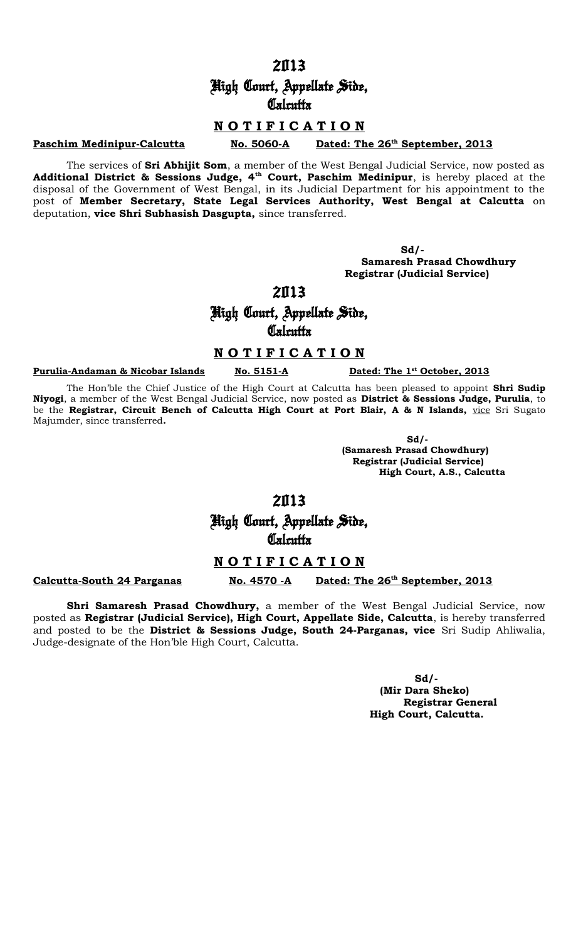# High Court, Appellate Side, **Calcutta**

## **N O T I F I C A T I O N**

#### **Paschim Medinipur-Calcutta No. 5060-A**

Dated: The 26<sup>th</sup> September, 2013

The services of **Sri Abhijit Som**, a member of the West Bengal Judicial Service, now posted as **Additional District & Sessions Judge, 4th Court, Paschim Medinipur**, is hereby placed at the disposal of the Government of West Bengal, in its Judicial Department for his appointment to the post of **Member Secretary, State Legal Services Authority, West Bengal at Calcutta** on deputation, **vice Shri Subhasish Dasgupta,** since transferred.

**Sd/-**

 **Samaresh Prasad Chowdhury Registrar (Judicial Service)**

# 2013

# High Court, Appellate Side, **Calcutta**

## **N O T I F I C A T I O N**

#### **Purulia-Andaman & Nicobar Islands No. 5151-A**

Dated: The 1<sup>st</sup> October, 2013

The Hon'ble the Chief Justice of the High Court at Calcutta has been pleased to appoint **Shri Sudip Niyogi**, a member of the West Bengal Judicial Service, now posted as **District & Sessions Judge, Purulia**, to be the Registrar, Circuit Bench of Calcutta High Court at Port Blair, A & N Islands, vice Sri Sugato Majumder, since transferred**.**

 $Sd/$ - $Sd/$ - $Sd/$ - $Sd/$ - $Sd/$ - $Sd/$ - $Sd/$ - $Sd/$ - $Sd/$ - $Sd/$ - $Sd/$ - $Sd/$ - $Sd/$ - $Sd/$ - $Sd/$ - $Sd/$ - $Sd/$ - $Sd/$ - $Sd/$ - $Sd/$ - $Sd/$ - $Sd/$ - $Sd/$ - $Sd/$ - $Sd/$ - $Sd/$ - $Sd/$ - $Sd/$ - $Sd/$ - $Sd/$ - $Sd/$ - $Sd/$ - $Sd/$ - $Sd/$ - $Sd/$ - $Sd/$ - $Sd/$ 

 **(Samaresh Prasad Chowdhury) Registrar (Judicial Service) High Court, A.S., Calcutta**

# 2013

High Court, Appellate Side, **Calcutta** 

## **N O T I F I C A T I O N**

### **Calcutta-South 24 Parganas** No. 4570 -A

## Dated: The 26<sup>th</sup> September, 2013

**Shri Samaresh Prasad Chowdhury,** a member of the West Bengal Judicial Service, now posted as **Registrar (Judicial Service), High Court, Appellate Side, Calcutta**, is hereby transferred and posted to be the **District & Sessions Judge, South 24-Parganas, vice** Sri Sudip Ahliwalia, Judge-designate of the Hon'ble High Court, Calcutta.

> **Sd/- (Mir Dara Sheko) Registrar General High Court, Calcutta.**